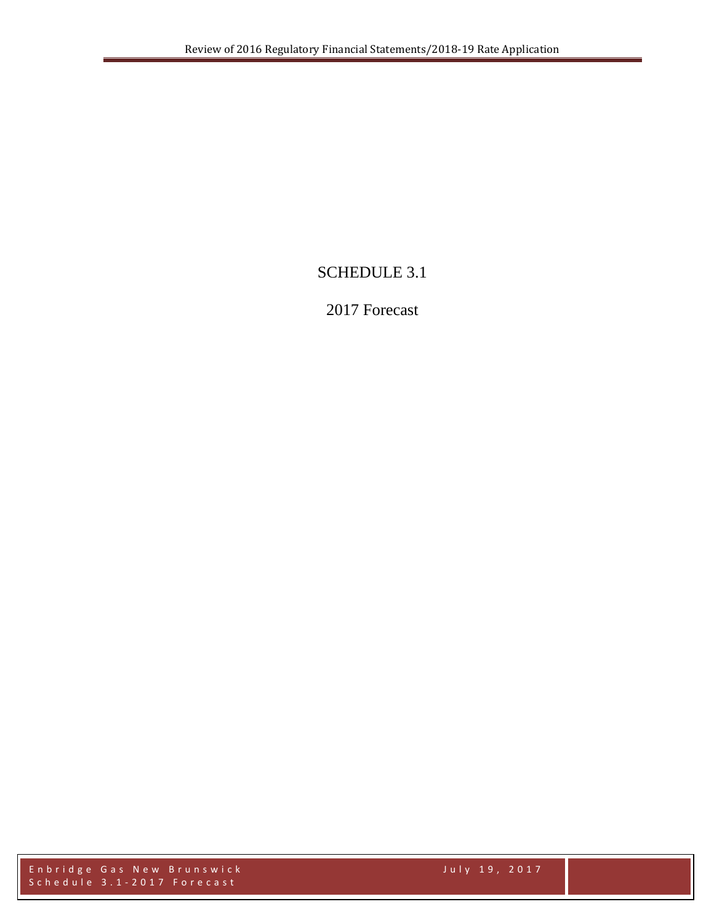# SCHEDULE 3.1

# 2017 Forecast

Enbridge Gas New Brunswick July 1 9 , 2017 Schedule 3.1 - 2017 Forecast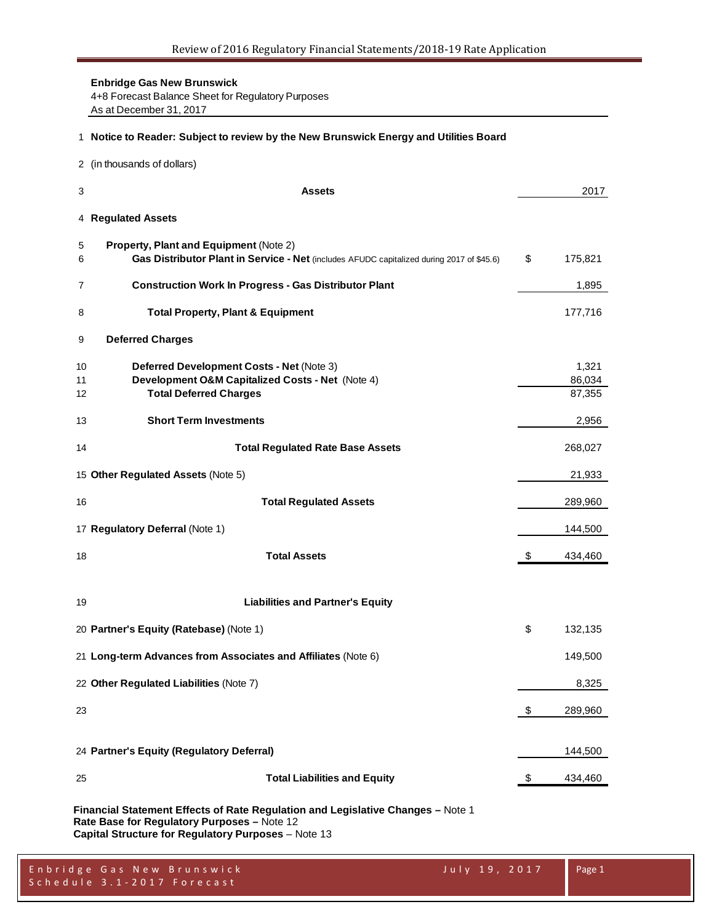**Enbridge Gas New Brunswick** 4+8 Forecast Balance Sheet for Regulatory Purposes As at December 31, 2017

#### **Notice to Reader: Subject to review by the New Brunswick Energy and Utilities Board**

(in thousands of dollars)

| 3              | <b>Assets</b>                                                                                                                       | 2017                      |
|----------------|-------------------------------------------------------------------------------------------------------------------------------------|---------------------------|
|                | 4 Regulated Assets                                                                                                                  |                           |
| 5<br>6         | Property, Plant and Equipment (Note 2)<br>Gas Distributor Plant in Service - Net (includes AFUDC capitalized during 2017 of \$45.6) | \$<br>175,821             |
| 7              | <b>Construction Work In Progress - Gas Distributor Plant</b>                                                                        | 1,895                     |
| 8              | <b>Total Property, Plant &amp; Equipment</b>                                                                                        | 177,716                   |
| 9              | <b>Deferred Charges</b>                                                                                                             |                           |
| 10<br>11<br>12 | Deferred Development Costs - Net (Note 3)<br>Development O&M Capitalized Costs - Net (Note 4)<br><b>Total Deferred Charges</b>      | 1,321<br>86,034<br>87,355 |
| 13             | <b>Short Term Investments</b>                                                                                                       | 2,956                     |
| 14             | <b>Total Regulated Rate Base Assets</b>                                                                                             | 268,027                   |
|                | 15 Other Regulated Assets (Note 5)                                                                                                  | 21,933                    |
| 16             | <b>Total Regulated Assets</b>                                                                                                       | 289,960                   |
|                | 17 Regulatory Deferral (Note 1)                                                                                                     | 144,500                   |
| 18             | <b>Total Assets</b>                                                                                                                 | \$<br>434,460             |
| 19             | <b>Liabilities and Partner's Equity</b>                                                                                             |                           |
|                | 20 Partner's Equity (Ratebase) (Note 1)                                                                                             | \$<br>132,135             |
|                | 21 Long-term Advances from Associates and Affiliates (Note 6)                                                                       | 149,500                   |
|                | 22 Other Regulated Liabilities (Note 7)                                                                                             | 8,325                     |
| 23             |                                                                                                                                     | \$<br>289,960             |
|                | 24 Partner's Equity (Regulatory Deferral)                                                                                           | 144,500                   |
| 25             | <b>Total Liabilities and Equity</b>                                                                                                 | \$<br>434,460             |
|                |                                                                                                                                     |                           |

**Financial Statement Effects of Rate Regulation and Legislative Changes –** Note 1 **Rate Base for Regulatory Purposes –** Note 12 **Capital Structure for Regulatory Purposes** – Note 13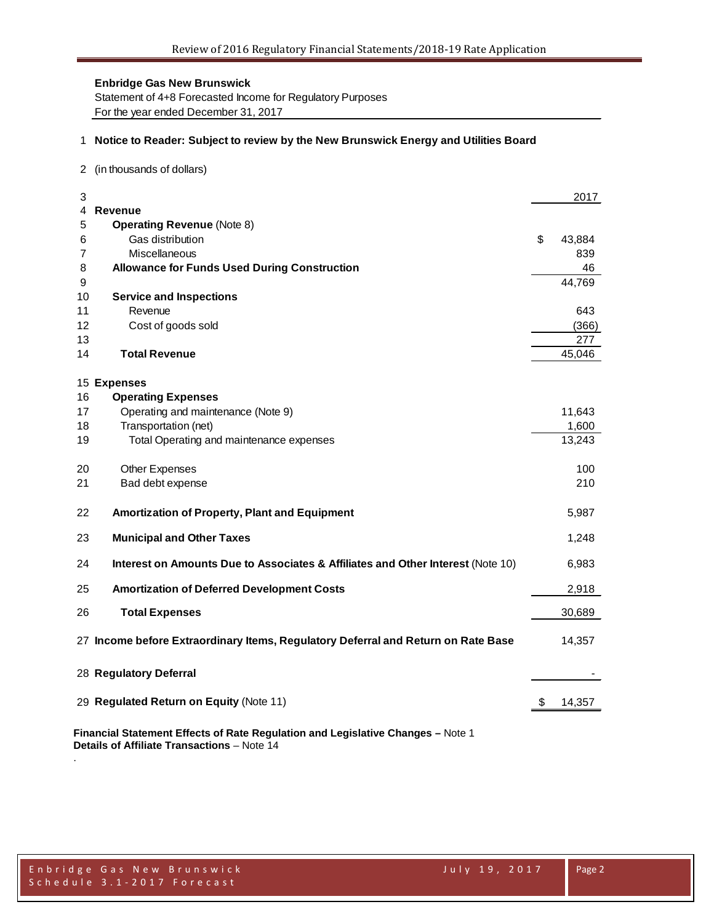Statement of 4+8 Forecasted Income for Regulatory Purposes For the year ended December 31, 2017

### 1 **Notice to Reader: Subject to review by the New Brunswick Energy and Utilities Board**

2 (in thousands of dollars)

| 3  |                                                                                   | 2017         |
|----|-----------------------------------------------------------------------------------|--------------|
| 4  | <b>Revenue</b>                                                                    |              |
| 5  | <b>Operating Revenue (Note 8)</b>                                                 |              |
| 6  | Gas distribution                                                                  | \$<br>43,884 |
| 7  | Miscellaneous                                                                     | 839          |
| 8  | <b>Allowance for Funds Used During Construction</b>                               | 46           |
| 9  |                                                                                   | 44,769       |
| 10 | <b>Service and Inspections</b>                                                    |              |
| 11 | Revenue                                                                           | 643          |
| 12 | Cost of goods sold                                                                | (366)        |
| 13 |                                                                                   | 277          |
| 14 | <b>Total Revenue</b>                                                              | 45,046       |
|    | 15 Expenses                                                                       |              |
| 16 | <b>Operating Expenses</b>                                                         |              |
| 17 | Operating and maintenance (Note 9)                                                | 11,643       |
| 18 | Transportation (net)                                                              | 1,600        |
| 19 | Total Operating and maintenance expenses                                          | 13,243       |
| 20 | <b>Other Expenses</b>                                                             | 100          |
| 21 | Bad debt expense                                                                  | 210          |
| 22 | Amortization of Property, Plant and Equipment                                     | 5,987        |
| 23 | <b>Municipal and Other Taxes</b>                                                  | 1,248        |
| 24 | Interest on Amounts Due to Associates & Affiliates and Other Interest (Note 10)   | 6,983        |
| 25 | <b>Amortization of Deferred Development Costs</b>                                 | 2,918        |
| 26 | <b>Total Expenses</b>                                                             | 30,689       |
|    | 27 Income before Extraordinary Items, Regulatory Deferral and Return on Rate Base | 14,357       |
|    | 28 Regulatory Deferral                                                            |              |
|    | 29 Regulated Return on Equity (Note 11)                                           | \$<br>14,357 |
|    | Financial Statement Effects of Rate Regulation and Legislative Changes - Note 1   |              |

**Details of Affiliate Transactions** – Note 14

.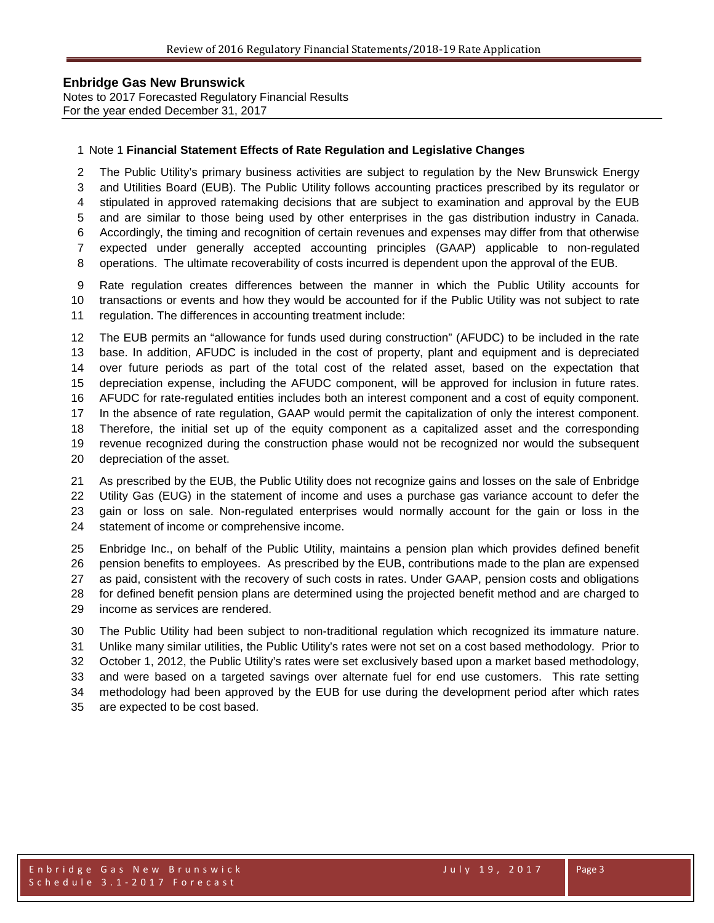Notes to 2017 Forecasted Regulatory Financial Results For the year ended December 31, 2017

#### Note 1 **Financial Statement Effects of Rate Regulation and Legislative Changes**

 The Public Utility's primary business activities are subject to regulation by the New Brunswick Energy and Utilities Board (EUB). The Public Utility follows accounting practices prescribed by its regulator or stipulated in approved ratemaking decisions that are subject to examination and approval by the EUB and are similar to those being used by other enterprises in the gas distribution industry in Canada. Accordingly, the timing and recognition of certain revenues and expenses may differ from that otherwise expected under generally accepted accounting principles (GAAP) applicable to non-regulated

operations. The ultimate recoverability of costs incurred is dependent upon the approval of the EUB.

 Rate regulation creates differences between the manner in which the Public Utility accounts for transactions or events and how they would be accounted for if the Public Utility was not subject to rate regulation. The differences in accounting treatment include:

 The EUB permits an "allowance for funds used during construction" (AFUDC) to be included in the rate base. In addition, AFUDC is included in the cost of property, plant and equipment and is depreciated over future periods as part of the total cost of the related asset, based on the expectation that depreciation expense, including the AFUDC component, will be approved for inclusion in future rates. AFUDC for rate-regulated entities includes both an interest component and a cost of equity component. In the absence of rate regulation, GAAP would permit the capitalization of only the interest component. Therefore, the initial set up of the equity component as a capitalized asset and the corresponding revenue recognized during the construction phase would not be recognized nor would the subsequent depreciation of the asset.

 As prescribed by the EUB, the Public Utility does not recognize gains and losses on the sale of Enbridge Utility Gas (EUG) in the statement of income and uses a purchase gas variance account to defer the gain or loss on sale. Non-regulated enterprises would normally account for the gain or loss in the statement of income or comprehensive income.

 Enbridge Inc., on behalf of the Public Utility, maintains a pension plan which provides defined benefit pension benefits to employees. As prescribed by the EUB, contributions made to the plan are expensed as paid, consistent with the recovery of such costs in rates. Under GAAP, pension costs and obligations for defined benefit pension plans are determined using the projected benefit method and are charged to income as services are rendered.

 The Public Utility had been subject to non-traditional regulation which recognized its immature nature. Unlike many similar utilities, the Public Utility's rates were not set on a cost based methodology. Prior to October 1, 2012, the Public Utility's rates were set exclusively based upon a market based methodology, and were based on a targeted savings over alternate fuel for end use customers. This rate setting methodology had been approved by the EUB for use during the development period after which rates are expected to be cost based.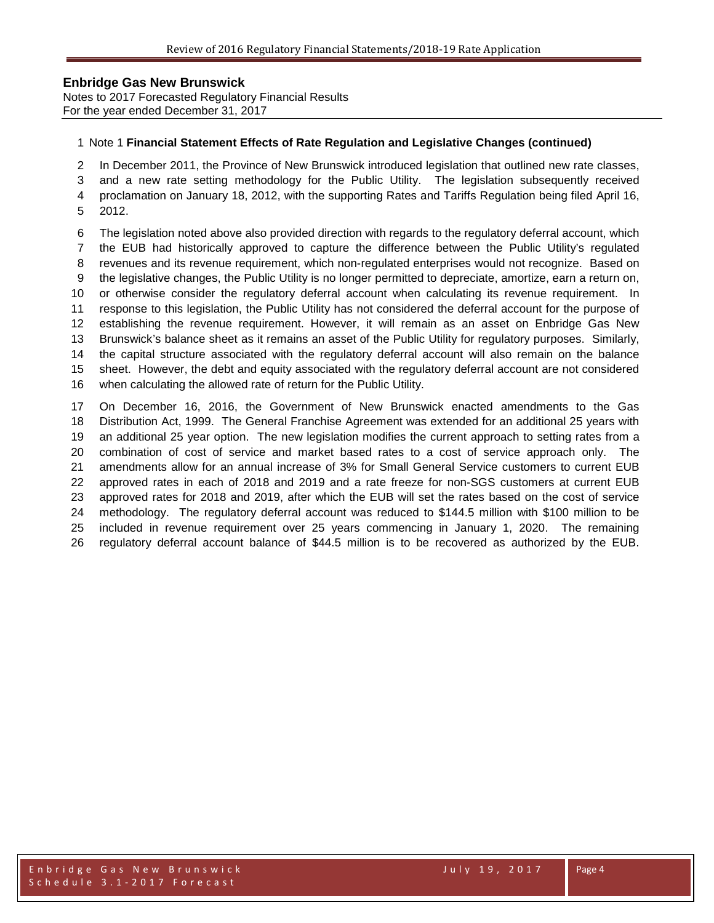Notes to 2017 Forecasted Regulatory Financial Results For the year ended December 31, 2017

#### Note 1 **Financial Statement Effects of Rate Regulation and Legislative Changes (continued)**

In December 2011, the Province of New Brunswick introduced legislation that outlined new rate classes,

and a new rate setting methodology for the Public Utility. The legislation subsequently received

proclamation on January 18, 2012, with the supporting Rates and Tariffs Regulation being filed April 16,

2012.

 The legislation noted above also provided direction with regards to the regulatory deferral account, which the EUB had historically approved to capture the difference between the Public Utility's regulated revenues and its revenue requirement, which non-regulated enterprises would not recognize. Based on the legislative changes, the Public Utility is no longer permitted to depreciate, amortize, earn a return on, or otherwise consider the regulatory deferral account when calculating its revenue requirement. In response to this legislation, the Public Utility has not considered the deferral account for the purpose of establishing the revenue requirement. However, it will remain as an asset on Enbridge Gas New Brunswick's balance sheet as it remains an asset of the Public Utility for regulatory purposes. Similarly, the capital structure associated with the regulatory deferral account will also remain on the balance sheet. However, the debt and equity associated with the regulatory deferral account are not considered when calculating the allowed rate of return for the Public Utility.

 On December 16, 2016, the Government of New Brunswick enacted amendments to the Gas Distribution Act, 1999. The General Franchise Agreement was extended for an additional 25 years with an additional 25 year option. The new legislation modifies the current approach to setting rates from a combination of cost of service and market based rates to a cost of service approach only. The amendments allow for an annual increase of 3% for Small General Service customers to current EUB approved rates in each of 2018 and 2019 and a rate freeze for non-SGS customers at current EUB approved rates for 2018 and 2019, after which the EUB will set the rates based on the cost of service methodology. The regulatory deferral account was reduced to \$144.5 million with \$100 million to be included in revenue requirement over 25 years commencing in January 1, 2020. The remaining regulatory deferral account balance of \$44.5 million is to be recovered as authorized by the EUB.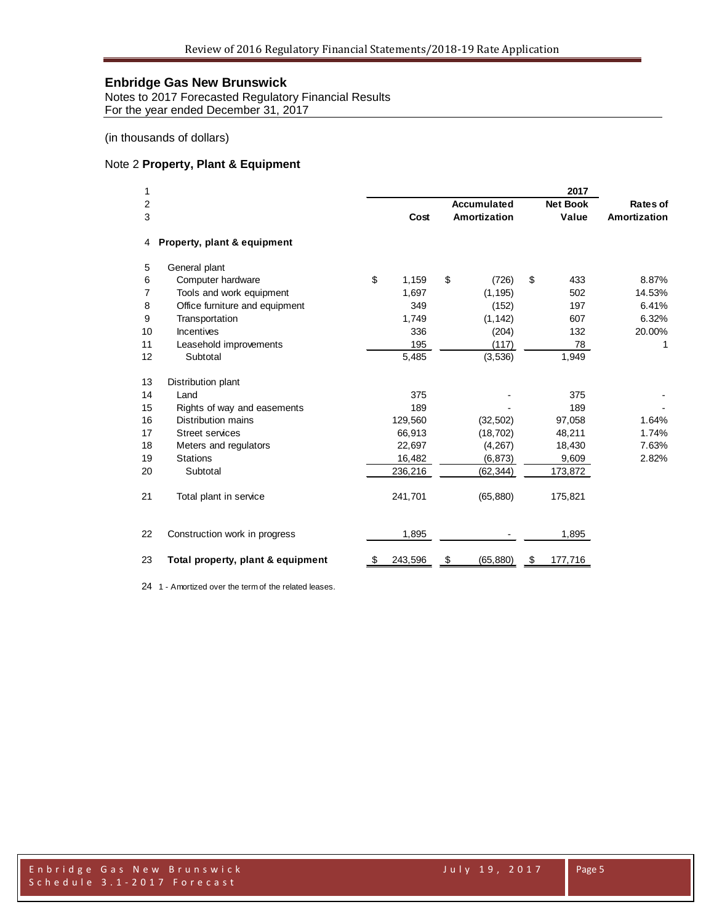Notes to 2017 Forecasted Regulatory Financial Results For the year ended December 31, 2017

(in thousands of dollars)

#### Note 2 **Property, Plant & Equipment**

| 1  |                                   |               |                    | 2017            |                     |
|----|-----------------------------------|---------------|--------------------|-----------------|---------------------|
| 2  |                                   |               | <b>Accumulated</b> | <b>Net Book</b> | <b>Rates of</b>     |
| 3  |                                   | Cost          | Amortization       | Value           | <b>Amortization</b> |
| 4  | Property, plant & equipment       |               |                    |                 |                     |
| 5  | General plant                     |               |                    |                 |                     |
| 6  | Computer hardware                 | \$<br>1,159   | \$<br>(726)        | \$<br>433       | 8.87%               |
| 7  | Tools and work equipment          | 1,697         | (1, 195)           | 502             | 14.53%              |
| 8  | Office furniture and equipment    | 349           | (152)              | 197             | 6.41%               |
| 9  | Transportation                    | 1,749         | (1, 142)           | 607             | 6.32%               |
| 10 | Incentives                        | 336           | (204)              | 132             | 20.00%              |
| 11 | Leasehold improvements            | 195           | (117)              | 78              | 1                   |
| 12 | Subtotal                          | 5,485         | (3, 536)           | 1,949           |                     |
| 13 | Distribution plant                |               |                    |                 |                     |
| 14 | Land                              | 375           |                    | 375             |                     |
| 15 | Rights of way and easements       | 189           |                    | 189             |                     |
| 16 | Distribution mains                | 129,560       | (32, 502)          | 97,058          | 1.64%               |
| 17 | <b>Street services</b>            | 66,913        | (18, 702)          | 48,211          | 1.74%               |
| 18 | Meters and regulators             | 22,697        | (4, 267)           | 18,430          | 7.63%               |
| 19 | <b>Stations</b>                   | 16,482        | (6, 873)           | 9,609           | 2.82%               |
| 20 | Subtotal                          | 236,216       | (62, 344)          | 173,872         |                     |
| 21 | Total plant in service            | 241,701       | (65, 880)          | 175,821         |                     |
| 22 | Construction work in progress     | 1,895         |                    | 1,895           |                     |
| 23 | Total property, plant & equipment | \$<br>243,596 | \$<br>(65, 880)    | \$<br>177,716   |                     |

1 - Amortized over the term of the related leases.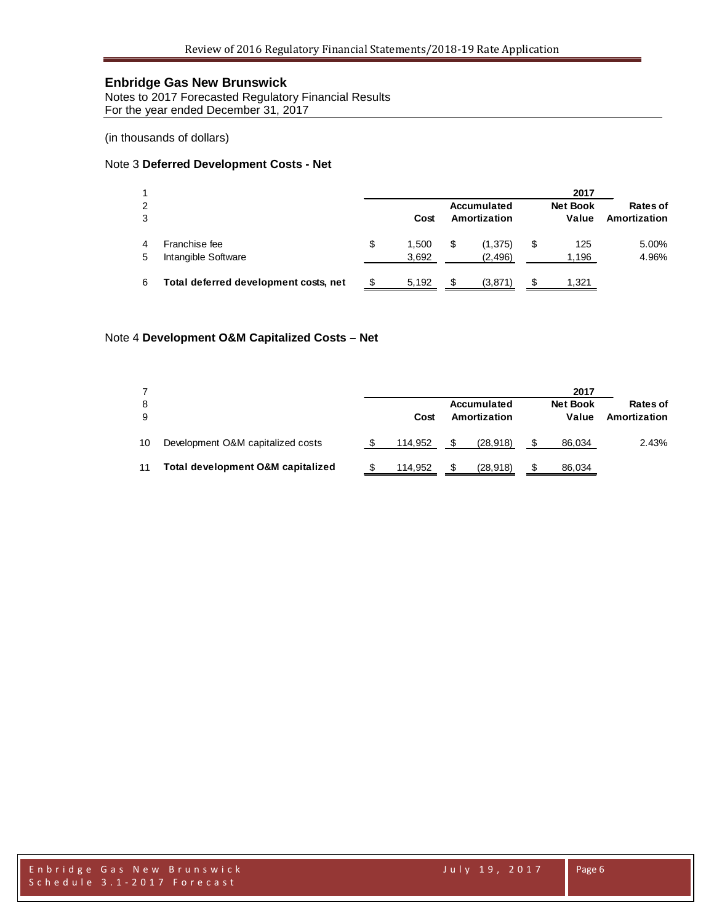Notes to 2017 Forecasted Regulatory Financial Results For the year ended December 31, 2017

(in thousands of dollars)

#### Note 3 **Deferred Development Costs - Net**

|        |                                       |   |                |    |                             | 2017                     |                          |
|--------|---------------------------------------|---|----------------|----|-----------------------------|--------------------------|--------------------------|
| 2<br>3 |                                       |   | Cost           |    | Accumulated<br>Amortization | <b>Net Book</b><br>Value | Rates of<br>Amortization |
| 5      | Franchise fee<br>Intangible Software  | S | 1.500<br>3,692 | \$ | (1, 375)<br>(2, 496)        | \$<br>125<br>1,196       | 5.00%<br>4.96%           |
| 6      | Total deferred development costs, net |   | 5.192          | £. | (3,871)                     | 1,321                    |                          |

### Note 4 **Development O&M Capitalized Costs – Net**

| 8<br>9 |                                   |  | Cost    | Accumulated<br>Amortization |           |  | 2017<br><b>Net Book</b><br>Value | Rates of<br>Amortization |  |
|--------|-----------------------------------|--|---------|-----------------------------|-----------|--|----------------------------------|--------------------------|--|
| 10     | Development O&M capitalized costs |  | 114.952 | \$.                         | (28.918)  |  | 86,034                           | 2.43%                    |  |
| 11     | Total development O&M capitalized |  | 114.952 | \$.                         | (28, 918) |  | 86,034                           |                          |  |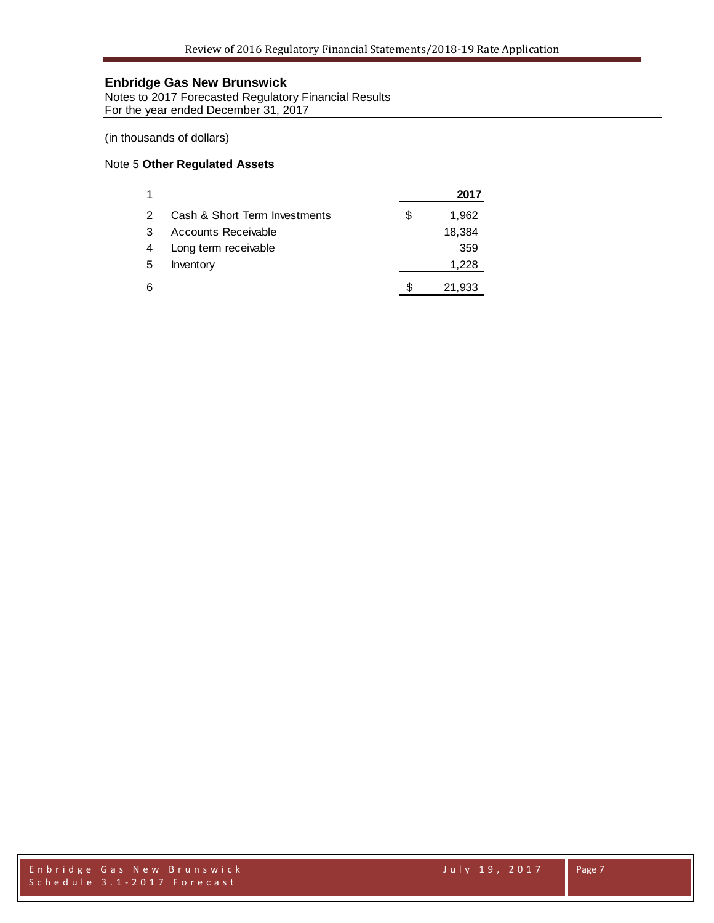Notes to 2017 Forecasted Regulatory Financial Results For the year ended December 31, 2017

(in thousands of dollars)

#### Note 5 **Other Regulated Assets**

| 1             |                               | 2017        |
|---------------|-------------------------------|-------------|
| $\mathcal{P}$ | Cash & Short Term Investments | \$<br>1,962 |
| 3             | Accounts Receivable           | 18,384      |
| 4             | Long term receivable          | 359         |
| 5             | Inventory                     | 1,228       |
| 6             |                               | 21,933      |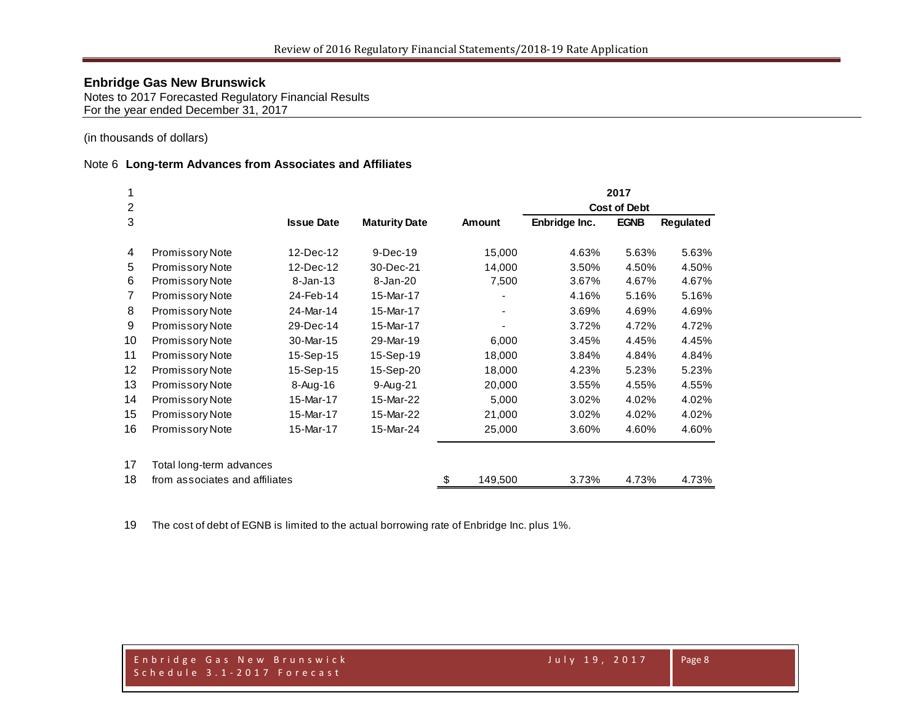Notes to 2017 Forecasted Regulatory Financial Results For the year ended December 31, 2017

(in thousands of dollars)

## Note 6 **Long-term Advances from Associates and Affiliates**

|    |                                |                   |                      |               | 2017          |                     |                  |  |
|----|--------------------------------|-------------------|----------------------|---------------|---------------|---------------------|------------------|--|
| 2  |                                |                   |                      |               |               | <b>Cost of Debt</b> |                  |  |
| 3  |                                | <b>Issue Date</b> | <b>Maturity Date</b> | <b>Amount</b> | Enbridge Inc. | <b>EGNB</b>         | <b>Regulated</b> |  |
| 4  | Promissory Note                | 12-Dec-12         | $9-Dec-19$           | 15,000        | 4.63%         | 5.63%               | 5.63%            |  |
| 5  | Promissory Note                | 12-Dec-12         | 30-Dec-21            | 14,000        | 3.50%         | 4.50%               | 4.50%            |  |
| 6  | Promissory Note                | $8 - Jan-13$      | 8-Jan-20             | 7,500         | 3.67%         | 4.67%               | 4.67%            |  |
| 7  | Promissory Note                | 24-Feb-14         | 15-Mar-17            |               | 4.16%         | 5.16%               | 5.16%            |  |
| 8  | <b>Promissory Note</b>         | 24-Mar-14         | 15-Mar-17            |               | 3.69%         | 4.69%               | 4.69%            |  |
| 9  | Promissory Note                | 29-Dec-14         | 15-Mar-17            |               | 3.72%         | 4.72%               | 4.72%            |  |
| 10 | Promissory Note                | 30-Mar-15         | 29-Mar-19            | 6,000         | 3.45%         | 4.45%               | 4.45%            |  |
| 11 | Promissory Note                | 15-Sep-15         | 15-Sep-19            | 18,000        | 3.84%         | 4.84%               | 4.84%            |  |
| 12 | Promissory Note                | 15-Sep-15         | 15-Sep-20            | 18,000        | 4.23%         | 5.23%               | 5.23%            |  |
| 13 | Promissory Note                | 8-Aug-16          | $9-Aug-21$           | 20,000        | 3.55%         | 4.55%               | 4.55%            |  |
| 14 | Promissory Note                | 15-Mar-17         | 15-Mar-22            | 5,000         | 3.02%         | 4.02%               | 4.02%            |  |
| 15 | <b>Promissory Note</b>         | 15-Mar-17         | 15-Mar-22            | 21,000        | 3.02%         | 4.02%               | 4.02%            |  |
| 16 | Promissory Note                | 15-Mar-17         | 15-Mar-24            | 25,000        | 3.60%         | 4.60%               | 4.60%            |  |
| 17 | Total long-term advances       |                   |                      |               |               |                     |                  |  |
| 18 | from associates and affiliates |                   |                      | \$<br>149,500 | 3.73%         | 4.73%               | 4.73%            |  |

The cost of debt of EGNB is limited to the actual borrowing rate of Enbridge Inc. plus 1%.

Page 8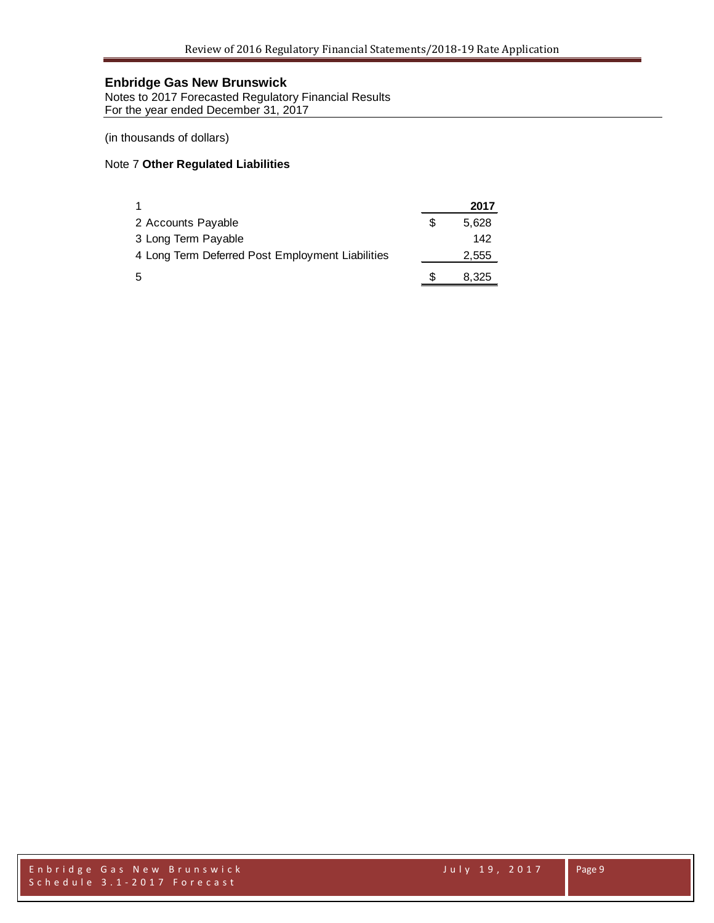Notes to 2017 Forecasted Regulatory Financial Results For the year ended December 31, 2017

(in thousands of dollars)

#### Note 7 **Other Regulated Liabilities**

|                                                  |   | 2017  |
|--------------------------------------------------|---|-------|
| 2 Accounts Payable                               | S | 5,628 |
| 3 Long Term Payable                              |   | 142   |
| 4 Long Term Deferred Post Employment Liabilities |   | 2,555 |
| 5                                                | S | 8,325 |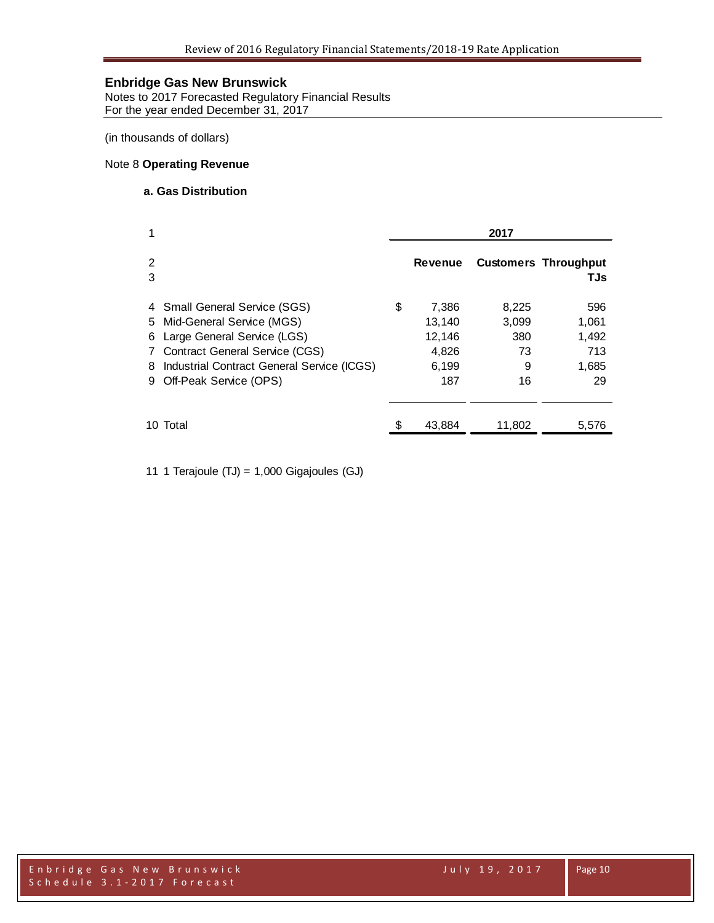Notes to 2017 Forecasted Regulatory Financial Results For the year ended December 31, 2017

(in thousands of dollars)

#### Note 8 **Operating Revenue**

#### **a. Gas Distribution**

| 1                                                                                                                                                                                                             | 2017 |                                                    |                                        |                                             |  |
|---------------------------------------------------------------------------------------------------------------------------------------------------------------------------------------------------------------|------|----------------------------------------------------|----------------------------------------|---------------------------------------------|--|
| 2<br>3                                                                                                                                                                                                        |      | Revenue                                            |                                        | <b>Customers Throughput</b><br><b>TJs</b>   |  |
| 4 Small General Service (SGS)<br>5 Mid-General Service (MGS)<br>6 Large General Service (LGS)<br>7 Contract General Service (CGS)<br>8 Industrial Contract General Service (ICGS)<br>9 Off-Peak Service (OPS) | \$   | 7,386<br>13,140<br>12,146<br>4,826<br>6,199<br>187 | 8,225<br>3,099<br>380<br>73<br>9<br>16 | 596<br>1,061<br>1,492<br>713<br>1,685<br>29 |  |
| 10 Total                                                                                                                                                                                                      |      | 43,884                                             | 11,802                                 | 5,576                                       |  |

11 1 Terajoule (TJ) = 1,000 Gigajoules (GJ)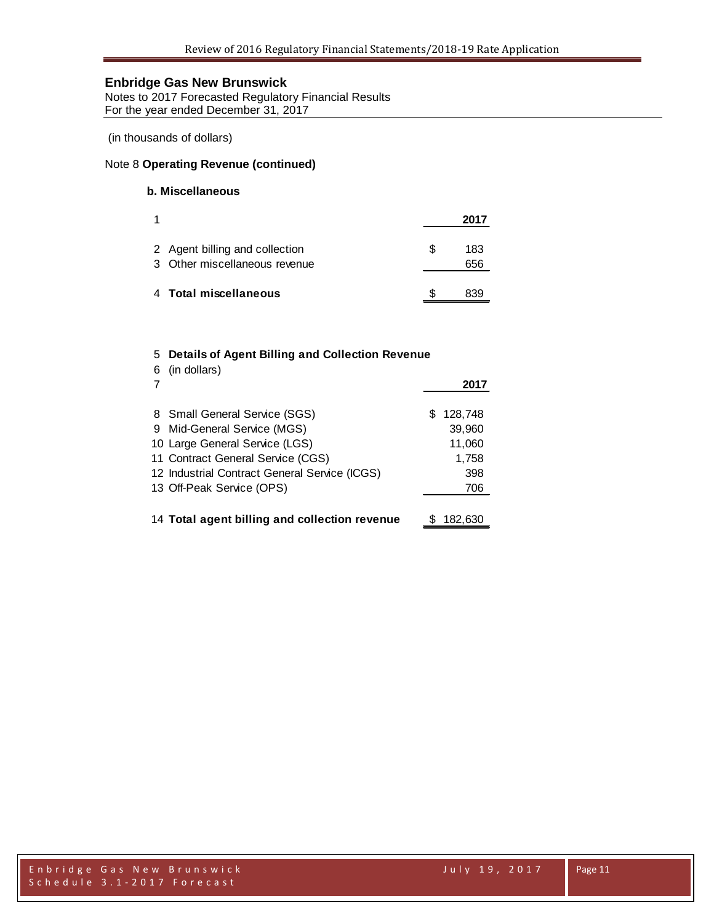Notes to 2017 Forecasted Regulatory Financial Results For the year ended December 31, 2017

(in thousands of dollars)

#### Note 8 **Operating Revenue (continued)**

## **b. Miscellaneous**

| 1 |                                                                 | 2017             |
|---|-----------------------------------------------------------------|------------------|
|   | 2 Agent billing and collection<br>3 Other miscellaneous revenue | \$<br>183<br>656 |
|   | 4 Total miscellaneous                                           | 839              |

## 5 **Details of Agent Billing and Collection Revenue**

| 6 | (in dollars)                                  |     | 2017    |
|---|-----------------------------------------------|-----|---------|
|   | 8 Small General Service (SGS)                 | SS. | 128,748 |
|   | 9 Mid-General Service (MGS)                   |     | 39,960  |
|   | 10 Large General Service (LGS)                |     | 11,060  |
|   | 11 Contract General Service (CGS)             |     | 1,758   |
|   | 12 Industrial Contract General Service (ICGS) |     | 398     |
|   | 13 Off-Peak Service (OPS)                     |     | 706     |
|   |                                               |     |         |
|   | 14 Total agent billing and collection revenue |     | 182,630 |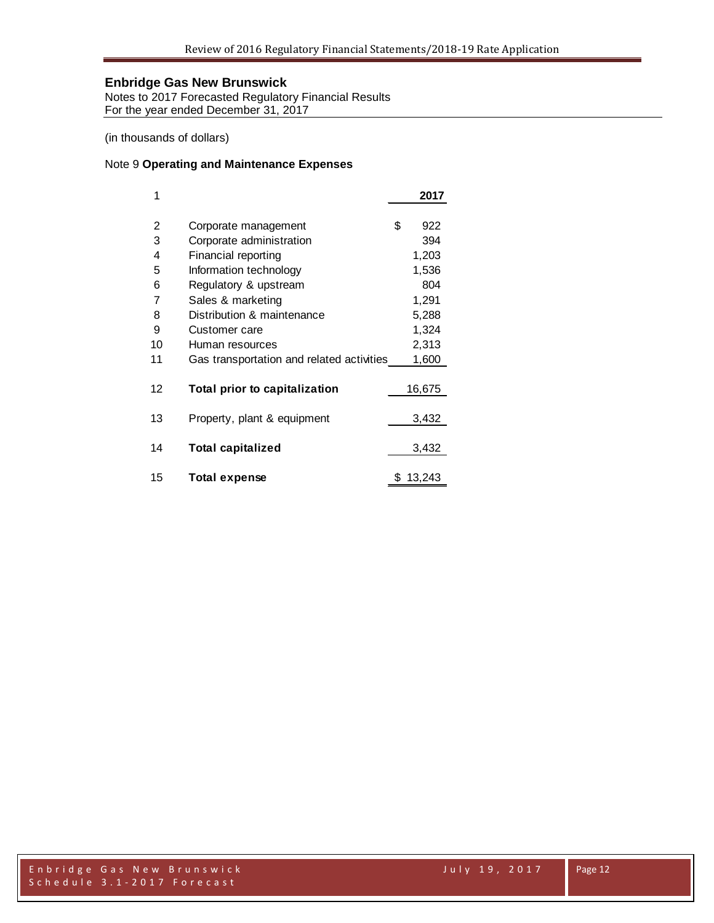Notes to 2017 Forecasted Regulatory Financial Results For the year ended December 31, 2017

(in thousands of dollars)

#### Note 9 **Operating and Maintenance Expenses**

| 1  |                                           | 2017      |
|----|-------------------------------------------|-----------|
| 2  | Corporate management                      | \$<br>922 |
| 3  | Corporate administration                  | 394       |
| 4  | <b>Financial reporting</b>                | 1,203     |
| 5  | Information technology                    | 1,536     |
| 6  | Regulatory & upstream                     | 804       |
| 7  | Sales & marketing                         | 1,291     |
| 8  | Distribution & maintenance                | 5,288     |
| 9  | Customer care                             | 1,324     |
| 10 | Human resources                           | 2,313     |
| 11 | Gas transportation and related activities | 1,600     |
| 12 | Total prior to capitalization             | 16,675    |
| 13 | Property, plant & equipment               | 3,432     |
| 14 | <b>Total capitalized</b>                  | 3,432     |
| 15 | <b>Total expense</b>                      | 13,243    |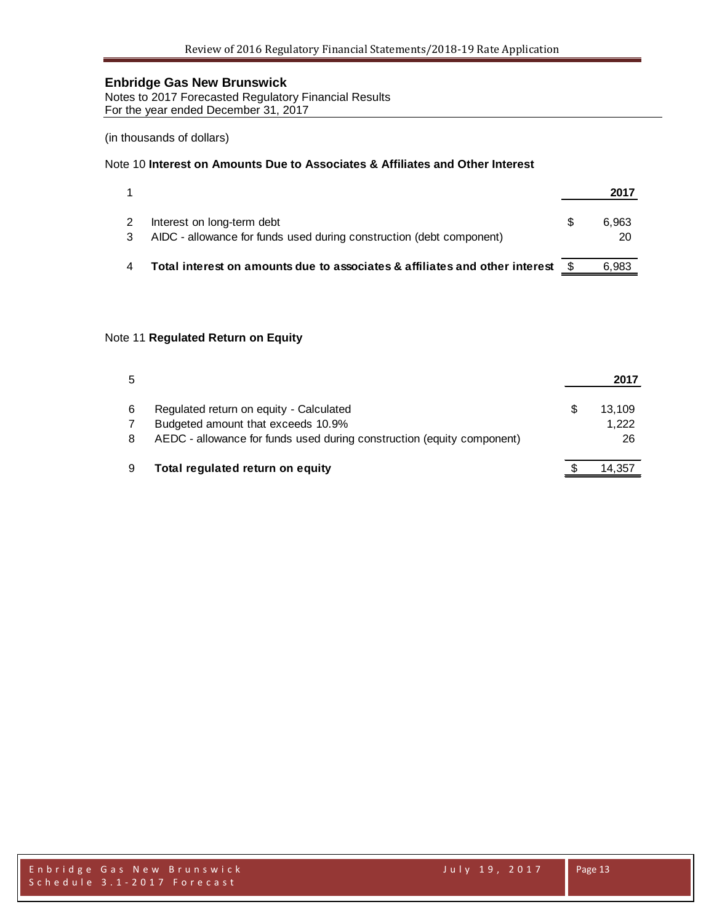Notes to 2017 Forecasted Regulatory Financial Results For the year ended December 31, 2017

(in thousands of dollars)

#### Note 10 **Interest on Amounts Due to Associates & Affiliates and Other Interest**

|                                                                                                    | 2017        |
|----------------------------------------------------------------------------------------------------|-------------|
| Interest on long-term debt<br>AIDC - allowance for funds used during construction (debt component) | 6.963<br>20 |
| Total interest on amounts due to associates & affiliates and other interest                        | 6.983       |

#### Note 11 **Regulated Return on Equity**

| 5 |                                                                        | 2017   |
|---|------------------------------------------------------------------------|--------|
| 6 | Regulated return on equity - Calculated                                | 13.109 |
|   | Budgeted amount that exceeds 10.9%                                     | 1,222  |
| 8 | AEDC - allowance for funds used during construction (equity component) | 26     |
| 9 | Total regulated return on equity                                       | 14,357 |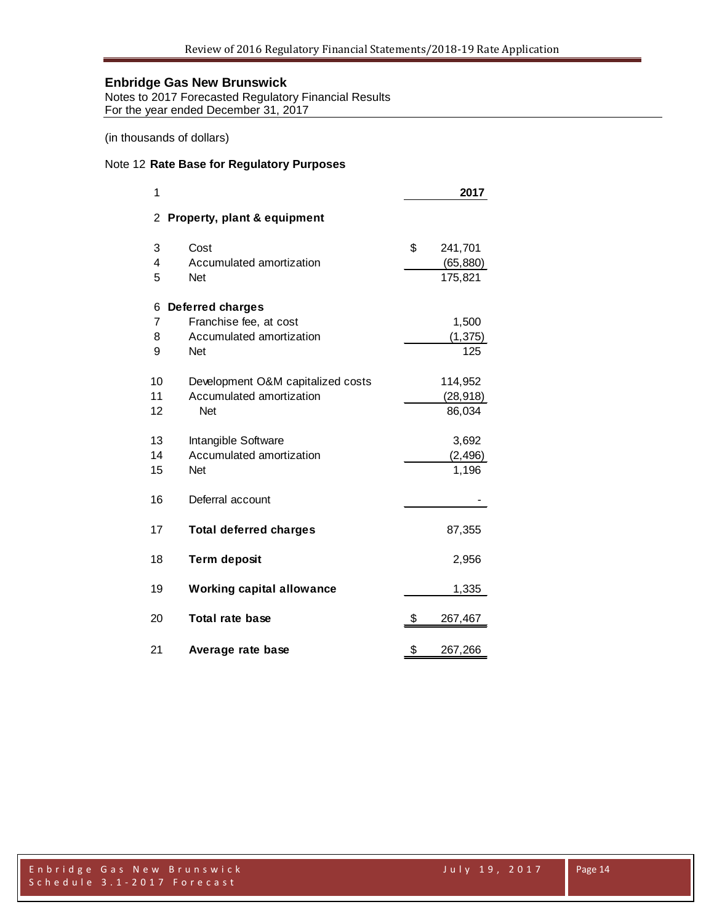Notes to 2017 Forecasted Regulatory Financial Results For the year ended December 31, 2017

(in thousands of dollars)

#### Note 12 **Rate Base for Regulatory Purposes**

| 1  |                                   | 2017          |  |
|----|-----------------------------------|---------------|--|
| 2  | Property, plant & equipment       |               |  |
| 3  | Cost                              | \$<br>241,701 |  |
| 4  | Accumulated amortization          | (65, 880)     |  |
| 5  | <b>Net</b>                        | 175,821       |  |
| 6  | <b>Deferred charges</b>           |               |  |
| 7  | Franchise fee, at cost            | 1,500         |  |
| 8  | Accumulated amortization          | (1, 375)      |  |
| 9  | <b>Net</b>                        | 125           |  |
| 10 | Development O&M capitalized costs | 114,952       |  |
| 11 | Accumulated amortization          | (28, 918)     |  |
| 12 | <b>Net</b>                        | 86,034        |  |
| 13 | Intangible Software               | 3,692         |  |
| 14 | Accumulated amortization          | (2, 496)      |  |
| 15 | <b>Net</b>                        | 1,196         |  |
| 16 | Deferral account                  |               |  |
| 17 | <b>Total deferred charges</b>     | 87,355        |  |
| 18 | <b>Term deposit</b>               | 2,956         |  |
| 19 | <b>Working capital allowance</b>  | 1,335         |  |
| 20 | <b>Total rate base</b>            | \$<br>267,467 |  |
| 21 | Average rate base                 | \$<br>267,266 |  |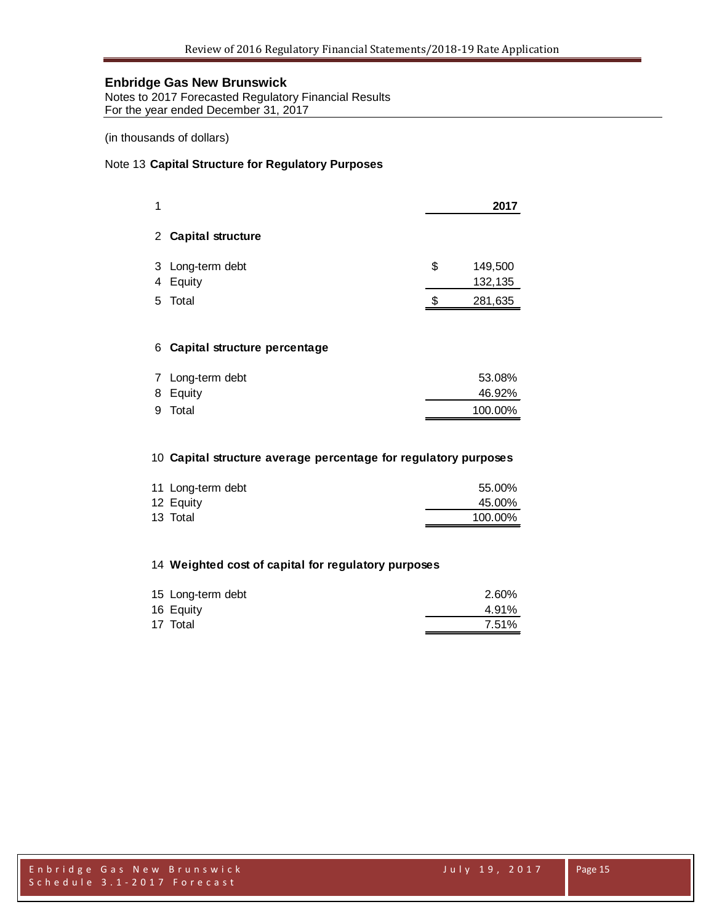Notes to 2017 Forecasted Regulatory Financial Results For the year ended December 31, 2017

(in thousands of dollars)

#### Note 13 **Capital Structure for Regulatory Purposes**

|    |                            |    | 2017               |
|----|----------------------------|----|--------------------|
|    | 2 Capital structure        |    |                    |
| 4  | 3 Long-term debt<br>Equity | \$ | 149,500<br>132,135 |
| 5. | Total                      | S  | 281,635            |
|    |                            |    |                    |

## **Capital structure percentage**

| 7 Long-term debt | 53.08%  |
|------------------|---------|
| 8 Equity         | 46.92%  |
| 9 Total          | 100.00% |

## **Capital structure average percentage for regulatory purposes**

| 11 Long-term debt | 55.00%  |
|-------------------|---------|
| 12 Equity         | 45.00%  |
| 13 Total          | 100.00% |

## **Weighted cost of capital for regulatory purposes**

| 15 Long-term debt | 2.60% |
|-------------------|-------|
| 16 Equity         | 4.91% |
| 17 Total          | 7.51% |